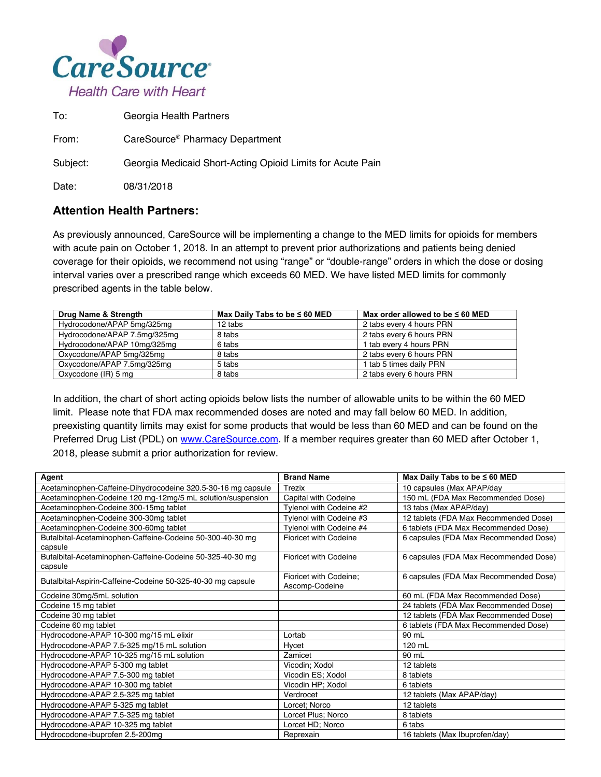

To: Georgia Health Partners

From: CareSource® Pharmacy Department

Subject: Georgia Medicaid Short-Acting Opioid Limits for Acute Pain

Date: 08/31/2018

## **Attention Health Partners:**

As previously announced, CareSource will be implementing a change to the MED limits for opioids for members with acute pain on October 1, 2018. In an attempt to prevent prior authorizations and patients being denied coverage for their opioids, we recommend not using "range" or "double-range" orders in which the dose or dosing interval varies over a prescribed range which exceeds 60 MED. We have listed MED limits for commonly prescribed agents in the table below.

| Drug Name & Strength         | Max Daily Tabs to be $\leq 60$ MED | Max order allowed to be $\leq 60$ MED |
|------------------------------|------------------------------------|---------------------------------------|
| Hydrocodone/APAP 5mg/325mg   | 12 tabs                            | 2 tabs every 4 hours PRN              |
| Hydrocodone/APAP 7.5mg/325mg | 8 tabs                             | 2 tabs every 6 hours PRN              |
| Hydrocodone/APAP 10mg/325mg  | 6 tabs                             | 1 tab every 4 hours PRN               |
| Oxycodone/APAP 5mg/325mg     | 8 tabs                             | 2 tabs every 6 hours PRN              |
| Oxycodone/APAP 7.5mg/325mg   | 5 tabs                             | 1 tab 5 times daily PRN               |
| Oxycodone (IR) 5 mg          | 8 tabs                             | 2 tabs every 6 hours PRN              |

In addition, the chart of short acting opioids below lists the number of allowable units to be within the 60 MED limit. Please note that FDA max recommended doses are noted and may fall below 60 MED. In addition, preexisting quantity limits may exist for some products that would be less than 60 MED and can be found on the Preferred Drug List (PDL) on www.CareSource.com. If a member requires greater than 60 MED after October 1, 2018, please submit a prior authorization for review.

| Agent                                                                | <b>Brand Name</b>            | Max Daily Tabs to be $\leq 60$ MED    |
|----------------------------------------------------------------------|------------------------------|---------------------------------------|
| Acetaminophen-Caffeine-Dihydrocodeine 320.5-30-16 mg capsule         | Trezix                       | 10 capsules (Max APAP/day             |
| Acetaminophen-Codeine 120 mg-12mg/5 mL solution/suspension           | Capital with Codeine         | 150 mL (FDA Max Recommended Dose)     |
| Acetaminophen-Codeine 300-15mg tablet                                | Tylenol with Codeine #2      | 13 tabs (Max APAP/day)                |
| Acetaminophen-Codeine 300-30mg tablet                                | Tylenol with Codeine #3      | 12 tablets (FDA Max Recommended Dose) |
| Acetaminophen-Codeine 300-60mg tablet                                | Tylenol with Codeine #4      | 6 tablets (FDA Max Recommended Dose)  |
| Butalbital-Acetaminophen-Caffeine-Codeine 50-300-40-30 mg<br>capsule | <b>Fioricet with Codeine</b> | 6 capsules (FDA Max Recommended Dose) |
| Butalbital-Acetaminophen-Caffeine-Codeine 50-325-40-30 mg            | Fioricet with Codeine        | 6 capsules (FDA Max Recommended Dose) |
| capsule                                                              |                              |                                       |
| Butalbital-Aspirin-Caffeine-Codeine 50-325-40-30 mg capsule          | Fioricet with Codeine;       | 6 capsules (FDA Max Recommended Dose) |
|                                                                      | Ascomp-Codeine               |                                       |
| Codeine 30mg/5mL solution                                            |                              | 60 mL (FDA Max Recommended Dose)      |
| Codeine 15 mg tablet                                                 |                              | 24 tablets (FDA Max Recommended Dose) |
| Codeine 30 mg tablet                                                 |                              | 12 tablets (FDA Max Recommended Dose) |
| Codeine 60 mg tablet                                                 |                              | 6 tablets (FDA Max Recommended Dose)  |
| Hydrocodone-APAP 10-300 mg/15 mL elixir                              | Lortab                       | 90 mL                                 |
| Hydrocodone-APAP 7.5-325 mg/15 mL solution                           | Hycet                        | 120 mL                                |
| Hydrocodone-APAP 10-325 mg/15 mL solution                            | Zamicet                      | 90 mL                                 |
| Hydrocodone-APAP 5-300 mg tablet                                     | Vicodin; Xodol               | 12 tablets                            |
| Hydrocodone-APAP 7.5-300 mg tablet                                   | Vicodin ES; Xodol            | 8 tablets                             |
| Hydrocodone-APAP 10-300 mg tablet                                    | Vicodin HP; Xodol            | 6 tablets                             |
| Hydrocodone-APAP 2.5-325 mg tablet                                   | Verdrocet                    | 12 tablets (Max APAP/day)             |
| Hydrocodone-APAP 5-325 mg tablet                                     | Lorcet; Norco                | 12 tablets                            |
| Hydrocodone-APAP 7.5-325 mg tablet                                   | Lorcet Plus; Norco           | 8 tablets                             |
| Hydrocodone-APAP 10-325 mg tablet                                    | Lorcet HD; Norco             | 6 tabs                                |
| Hydrocodone-ibuprofen 2.5-200mg                                      | Reprexain                    | 16 tablets (Max Ibuprofen/day)        |